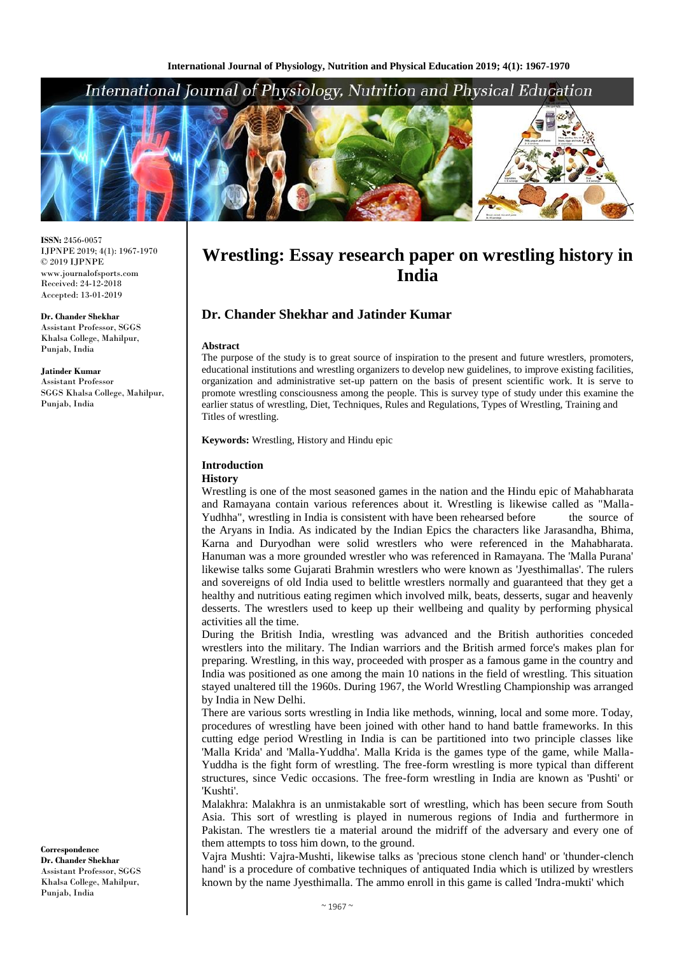# International Journal of Physiology, Nutrition and Physical Education



**ISSN:** 2456-0057 IJPNPE 2019; 4(1): 1967-1970  $\odot$  2019 IJPNPE www.journalofsports.com Received: 24-12-2018 Accepted: 13-01-2019

**Dr. Chander Shekhar** Assistant Professor, SGGS Khalsa College, Mahilpur, Punjab, India

**Jatinder Kumar**

Assistant Professor SGGS Khalsa College, Mahilpur, Punjab, India

**Correspondence Dr. Chander Shekhar** Assistant Professor, SGGS Khalsa College, Mahilpur, Punjab, India

# **Wrestling: Essay research paper on wrestling history in India**

# **Dr. Chander Shekhar and Jatinder Kumar**

#### **Abstract**

The purpose of the study is to great source of inspiration to the present and future wrestlers, promoters, educational institutions and wrestling organizers to develop new guidelines, to improve existing facilities, organization and administrative set-up pattern on the basis of present scientific work. It is serve to promote wrestling consciousness among the people. This is survey type of study under this examine the earlier status of wrestling, Diet, Techniques, Rules and Regulations, Types of Wrestling, Training and Titles of wrestling.

**Keywords:** Wrestling, History and Hindu epic

#### **Introduction**

#### **History**

Wrestling is one of the most seasoned games in the nation and the Hindu epic of Mahabharata and Ramayana contain various references about it. Wrestling is likewise called as "Malla-Yudhha", wrestling in India is consistent with have been rehearsed before the source of the Aryans in India. As indicated by the Indian Epics the characters like Jarasandha, Bhima, Karna and Duryodhan were solid wrestlers who were referenced in the Mahabharata. Hanuman was a more grounded wrestler who was referenced in Ramayana. The 'Malla Purana' likewise talks some Gujarati Brahmin wrestlers who were known as 'Jyesthimallas'. The rulers and sovereigns of old India used to belittle wrestlers normally and guaranteed that they get a healthy and nutritious eating regimen which involved milk, beats, desserts, sugar and heavenly desserts. The wrestlers used to keep up their wellbeing and quality by performing physical activities all the time.

During the British India, wrestling was advanced and the British authorities conceded wrestlers into the military. The Indian warriors and the British armed force's makes plan for preparing. Wrestling, in this way, proceeded with prosper as a famous game in the country and India was positioned as one among the main 10 nations in the field of wrestling. This situation stayed unaltered till the 1960s. During 1967, the World Wrestling Championship was arranged by India in New Delhi.

There are various sorts wrestling in India like methods, winning, local and some more. Today, procedures of wrestling have been joined with other hand to hand battle frameworks. In this cutting edge period Wrestling in India is can be partitioned into two principle classes like 'Malla Krida' and 'Malla-Yuddha'. Malla Krida is the games type of the game, while Malla-Yuddha is the fight form of wrestling. The free-form wrestling is more typical than different structures, since Vedic occasions. The free-form wrestling in India are known as 'Pushti' or 'Kushti'.

Malakhra: Malakhra is an unmistakable sort of wrestling, which has been secure from South Asia. This sort of wrestling is played in numerous regions of India and furthermore in Pakistan. The wrestlers tie a material around the midriff of the adversary and every one of them attempts to toss him down, to the ground.

Vajra Mushti: Vajra-Mushti, likewise talks as 'precious stone clench hand' or 'thunder-clench hand' is a procedure of combative techniques of antiquated India which is utilized by wrestlers known by the name Jyesthimalla. The ammo enroll in this game is called 'Indra-mukti' which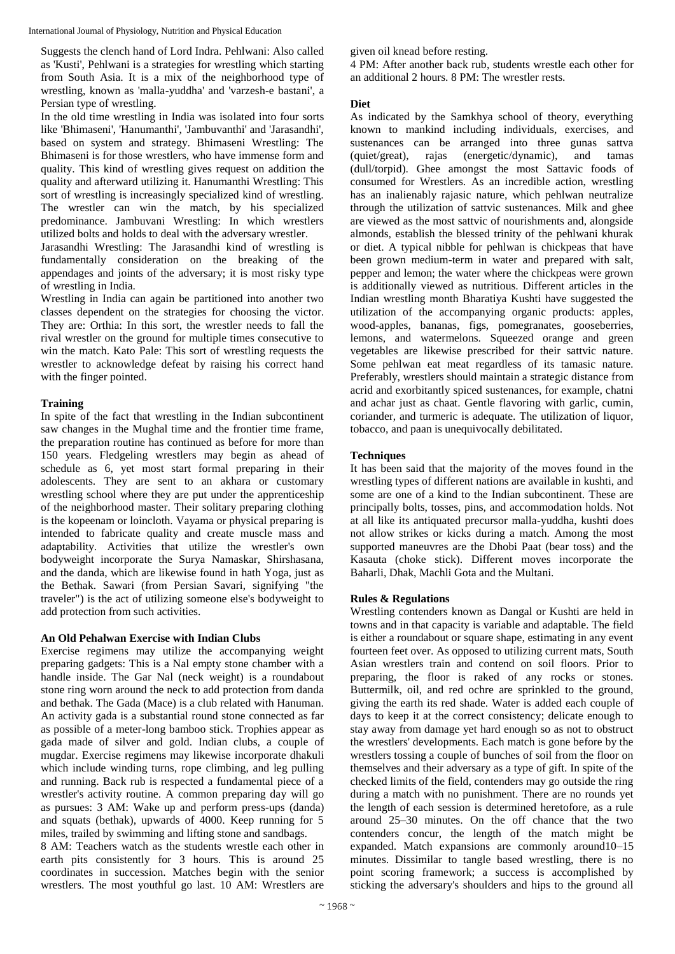International Journal of Physiology, Nutrition and Physical Education

Suggests the clench hand of Lord Indra. Pehlwani: Also called as 'Kusti', Pehlwani is a strategies for wrestling which starting from South Asia. It is a mix of the neighborhood type of wrestling, known as 'malla-yuddha' and 'varzesh-e bastani', a Persian type of wrestling.

In the old time wrestling in India was isolated into four sorts like 'Bhimaseni', 'Hanumanthi', 'Jambuvanthi' and 'Jarasandhi', based on system and strategy. Bhimaseni Wrestling: The Bhimaseni is for those wrestlers, who have immense form and quality. This kind of wrestling gives request on addition the quality and afterward utilizing it. Hanumanthi Wrestling: This sort of wrestling is increasingly specialized kind of wrestling. The wrestler can win the match, by his specialized predominance. Jambuvani Wrestling: In which wrestlers utilized bolts and holds to deal with the adversary wrestler.

Jarasandhi Wrestling: The Jarasandhi kind of wrestling is fundamentally consideration on the breaking of the appendages and joints of the adversary; it is most risky type of wrestling in India.

Wrestling in India can again be partitioned into another two classes dependent on the strategies for choosing the victor. They are: Orthia: In this sort, the wrestler needs to fall the rival wrestler on the ground for multiple times consecutive to win the match. Kato Pale: This sort of wrestling requests the wrestler to acknowledge defeat by raising his correct hand with the finger pointed.

# **Training**

In spite of the fact that wrestling in the Indian subcontinent saw changes in the Mughal time and the frontier time frame, the preparation routine has continued as before for more than 150 years. Fledgeling wrestlers may begin as ahead of schedule as 6, yet most start formal preparing in their adolescents. They are sent to an akhara or customary wrestling school where they are put under the apprenticeship of the neighborhood master. Their solitary preparing clothing is the kopeenam or loincloth. Vayama or physical preparing is intended to fabricate quality and create muscle mass and adaptability. Activities that utilize the wrestler's own bodyweight incorporate the Surya Namaskar, Shirshasana, and the danda, which are likewise found in hath Yoga, just as the Bethak. Sawari (from Persian Savari, signifying "the traveler") is the act of utilizing someone else's bodyweight to add protection from such activities.

# **An Old Pehalwan Exercise with Indian Clubs**

Exercise regimens may utilize the accompanying weight preparing gadgets: This is a Nal empty stone chamber with a handle inside. The Gar Nal (neck weight) is a roundabout stone ring worn around the neck to add protection from danda and bethak. The Gada (Mace) is a club related with Hanuman. An activity gada is a substantial round stone connected as far as possible of a meter-long bamboo stick. Trophies appear as gada made of silver and gold. Indian clubs, a couple of mugdar. Exercise regimens may likewise incorporate dhakuli which include winding turns, rope climbing, and leg pulling and running. Back rub is respected a fundamental piece of a wrestler's activity routine. A common preparing day will go as pursues: 3 AM: Wake up and perform press-ups (danda) and squats (bethak), upwards of 4000. Keep running for 5 miles, trailed by swimming and lifting stone and sandbags.

8 AM: Teachers watch as the students wrestle each other in earth pits consistently for 3 hours. This is around 25 coordinates in succession. Matches begin with the senior wrestlers. The most youthful go last. 10 AM: Wrestlers are given oil knead before resting.

4 PM: After another back rub, students wrestle each other for an additional 2 hours. 8 PM: The wrestler rests.

### **Diet**

As indicated by the Samkhya school of theory, everything known to mankind including individuals, exercises, and sustenances can be arranged into three gunas sattva (quiet/great), rajas (energetic/dynamic), and tamas (dull/torpid). Ghee amongst the most Sattavic foods of consumed for Wrestlers. As an incredible action, wrestling has an inalienably rajasic nature, which pehlwan neutralize through the utilization of sattvic sustenances. Milk and ghee are viewed as the most sattvic of nourishments and, alongside almonds, establish the blessed trinity of the pehlwani khurak or diet. A typical nibble for pehlwan is chickpeas that have been grown medium-term in water and prepared with salt, pepper and lemon; the water where the chickpeas were grown is additionally viewed as nutritious. Different articles in the Indian wrestling month Bharatiya Kushti have suggested the utilization of the accompanying organic products: apples, wood-apples, bananas, figs, pomegranates, gooseberries, lemons, and watermelons. Squeezed orange and green vegetables are likewise prescribed for their sattvic nature. Some pehlwan eat meat regardless of its tamasic nature. Preferably, wrestlers should maintain a strategic distance from acrid and exorbitantly spiced sustenances, for example, chatni and achar just as chaat. Gentle flavoring with garlic, cumin, coriander, and turmeric is adequate. The utilization of liquor, tobacco, and paan is unequivocally debilitated.

# **Techniques**

It has been said that the majority of the moves found in the wrestling types of different nations are available in kushti, and some are one of a kind to the Indian subcontinent. These are principally bolts, tosses, pins, and accommodation holds. Not at all like its antiquated precursor malla-yuddha, kushti does not allow strikes or kicks during a match. Among the most supported maneuvres are the Dhobi Paat (bear toss) and the Kasauta (choke stick). Different moves incorporate the Baharli, Dhak, Machli Gota and the Multani.

# **Rules & Regulations**

Wrestling contenders known as Dangal or Kushti are held in towns and in that capacity is variable and adaptable. The field is either a roundabout or square shape, estimating in any event fourteen feet over. As opposed to utilizing current mats, South Asian wrestlers train and contend on soil floors. Prior to preparing, the floor is raked of any rocks or stones. Buttermilk, oil, and red ochre are sprinkled to the ground, giving the earth its red shade. Water is added each couple of days to keep it at the correct consistency; delicate enough to stay away from damage yet hard enough so as not to obstruct the wrestlers' developments. Each match is gone before by the wrestlers tossing a couple of bunches of soil from the floor on themselves and their adversary as a type of gift. In spite of the checked limits of the field, contenders may go outside the ring during a match with no punishment. There are no rounds yet the length of each session is determined heretofore, as a rule around 25–30 minutes. On the off chance that the two contenders concur, the length of the match might be expanded. Match expansions are commonly around10–15 minutes. Dissimilar to tangle based wrestling, there is no point scoring framework; a success is accomplished by sticking the adversary's shoulders and hips to the ground all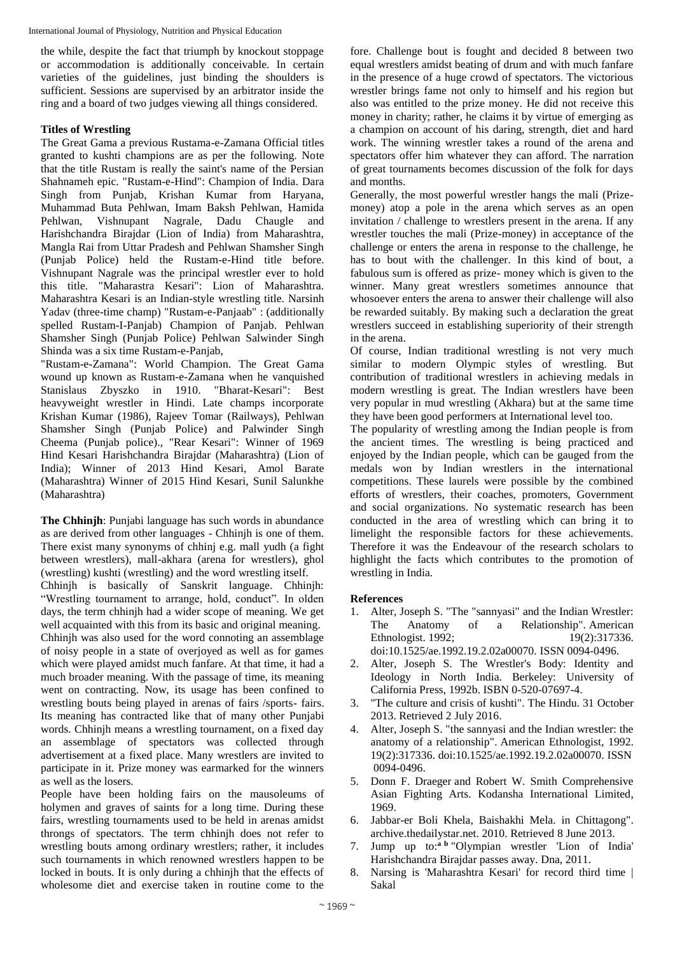the while, despite the fact that triumph by knockout stoppage or accommodation is additionally conceivable. In certain varieties of the guidelines, just binding the shoulders is sufficient. Sessions are supervised by an arbitrator inside the ring and a board of two judges viewing all things considered.

#### **Titles of Wrestling**

The Great Gama a previous Rustama-e-Zamana Official titles granted to kushti champions are as per the following. Note that the title Rustam is really the saint's name of the Persian Shahnameh epic. "Rustam-e-Hind": Champion of India. Dara Singh from Punjab, Krishan Kumar from Haryana, Muhammad Buta Pehlwan, Imam Baksh Pehlwan, Hamida Pehlwan, Vishnupant Nagrale, Dadu Chaugle and Harishchandra Birajdar (Lion of India) from Maharashtra, Mangla Rai from Uttar Pradesh and Pehlwan Shamsher Singh (Punjab Police) held the Rustam-e-Hind title before. Vishnupant Nagrale was the principal wrestler ever to hold this title. "Maharastra Kesari": Lion of Maharashtra. Maharashtra Kesari is an Indian-style wrestling title. Narsinh Yadav (three-time champ) "Rustam-e-Panjaab" : (additionally spelled Rustam-I-Panjab) Champion of Panjab. Pehlwan Shamsher Singh (Punjab Police) Pehlwan Salwinder Singh Shinda was a six time Rustam-e-Panjab,

"Rustam-e-Zamana": World Champion. The Great Gama wound up known as Rustam-e-Zamana when he vanquished Stanislaus Zbyszko in 1910. "Bharat-Kesari": Best heavyweight wrestler in Hindi. Late champs incorporate Krishan Kumar (1986), Rajeev Tomar (Railways), Pehlwan Shamsher Singh (Punjab Police) and Palwinder Singh Cheema (Punjab police)., "Rear Kesari": Winner of 1969 Hind Kesari Harishchandra Birajdar (Maharashtra) (Lion of India); Winner of 2013 Hind Kesari, Amol Barate (Maharashtra) Winner of 2015 Hind Kesari, Sunil Salunkhe (Maharashtra)

**The Chhinjh**: Punjabi language has such words in abundance as are derived from other languages - Chhinjh is one of them. There exist many synonyms of chhinj e.g. mall yudh (a fight between wrestlers), mall-akhara (arena for wrestlers), ghol (wrestling) kushti (wrestling) and the word wrestling itself.

Chhinjh is basically of Sanskrit language. Chhinjh: "Wrestling tournament to arrange, hold, conduct". In olden days, the term chhinjh had a wider scope of meaning. We get well acquainted with this from its basic and original meaning. Chhinjh was also used for the word connoting an assemblage of noisy people in a state of overjoyed as well as for games which were played amidst much fanfare. At that time, it had a much broader meaning. With the passage of time, its meaning went on contracting. Now, its usage has been confined to wrestling bouts being played in arenas of fairs /sports- fairs. Its meaning has contracted like that of many other Punjabi words. Chhinjh means a wrestling tournament, on a fixed day an assemblage of spectators was collected through advertisement at a fixed place. Many wrestlers are invited to participate in it. Prize money was earmarked for the winners as well as the losers.

People have been holding fairs on the mausoleums of holymen and graves of saints for a long time. During these fairs, wrestling tournaments used to be held in arenas amidst throngs of spectators. The term chhinjh does not refer to wrestling bouts among ordinary wrestlers; rather, it includes such tournaments in which renowned wrestlers happen to be locked in bouts. It is only during a chhinjh that the effects of wholesome diet and exercise taken in routine come to the

fore. Challenge bout is fought and decided 8 between two equal wrestlers amidst beating of drum and with much fanfare in the presence of a huge crowd of spectators. The victorious wrestler brings fame not only to himself and his region but also was entitled to the prize money. He did not receive this money in charity; rather, he claims it by virtue of emerging as a champion on account of his daring, strength, diet and hard work. The winning wrestler takes a round of the arena and spectators offer him whatever they can afford. The narration of great tournaments becomes discussion of the folk for days and months.

Generally, the most powerful wrestler hangs the mali (Prizemoney) atop a pole in the arena which serves as an open invitation / challenge to wrestlers present in the arena. If any wrestler touches the mali (Prize-money) in acceptance of the challenge or enters the arena in response to the challenge, he has to bout with the challenger. In this kind of bout, a fabulous sum is offered as prize- money which is given to the winner. Many great wrestlers sometimes announce that whosoever enters the arena to answer their challenge will also be rewarded suitably. By making such a declaration the great wrestlers succeed in establishing superiority of their strength in the arena.

Of course, Indian traditional wrestling is not very much similar to modern Olympic styles of wrestling. But contribution of traditional wrestlers in achieving medals in modern wrestling is great. The Indian wrestlers have been very popular in mud wrestling (Akhara) but at the same time they have been good performers at International level too.

The popularity of wrestling among the Indian people is from the ancient times. The wrestling is being practiced and enjoyed by the Indian people, which can be gauged from the medals won by Indian wrestlers in the international competitions. These laurels were possible by the combined efforts of wrestlers, their coaches, promoters, Government and social organizations. No systematic research has been conducted in the area of wrestling which can bring it to limelight the responsible factors for these achievements. Therefore it was the Endeavour of the research scholars to highlight the facts which contributes to the promotion of wrestling in India.

#### **References**

- 1. Alter, Joseph S. "The "sannyasi" and the Indian Wrestler: The Anatomy of a Relationship". American Ethnologist. 1992; 19(2):317336. doi:10.1525/ae.1992.19.2.02a00070. ISSN 0094-0496.
- 2. Alter, Joseph S. The Wrestler's Body: Identity and Ideology in North India. Berkeley: University of California Press, 1992b. ISBN 0-520-07697-4.
- 3. "The culture and crisis of kushti". The Hindu. 31 October 2013. Retrieved 2 July 2016.
- 4. Alter, Joseph S. "the sannyasi and the Indian wrestler: the anatomy of a relationship". American Ethnologist, 1992. 19(2):317336. doi:10.1525/ae.1992.19.2.02a00070. ISSN 0094-0496.
- 5. Donn F. Draeger and Robert W. Smith Comprehensive Asian Fighting Arts. Kodansha International Limited, 1969.
- 6. Jabbar-er Boli Khela, Baishakhi Mela. in Chittagong". archive.thedailystar.net. 2010. Retrieved 8 June 2013.
- 7. Jump up to:**<sup>a</sup> <sup>b</sup>** "Olympian wrestler 'Lion of India' Harishchandra Birajdar passes away. Dna, 2011.
- 8. Narsing is 'Maharashtra Kesari' for record third time | Sakal